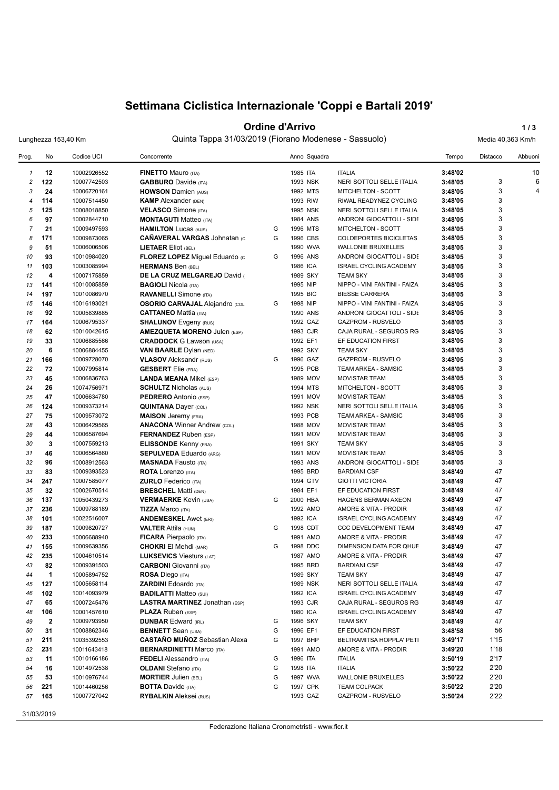# **Settimana Ciclistica Internazionale 'Coppi e Bartali 2019'**

### **Ordine d'Arrivo 1/3**

Lunghezza 153,40 Km Quinta Tappa 31/03/2019 (Fiorano Modenese - Sassuolo) Media 40,363 Km/h

| Prog.          | No           | Codice UCI  | Concorrente                           |   |          | Anno Squadra |                               | Tempo   | Distacco | Abbuoni |
|----------------|--------------|-------------|---------------------------------------|---|----------|--------------|-------------------------------|---------|----------|---------|
| $\mathbf{1}$   | 12           | 10002926552 | <b>FINETTO Mauro (ITA)</b>            |   | 1985 ITA |              | <b>ITALIA</b>                 | 3:48'02 |          | 10      |
| $\overline{c}$ | 122          | 10007742503 | <b>GABBURO</b> Davide (ITA)           |   | 1993 NSK |              | NERI SOTTOLI SELLE ITALIA     | 3:48'05 | 3        | 6       |
| 3              | 24           | 10006720161 | <b>HOWSON Damien (AUS)</b>            |   | 1992 MTS |              | MITCHELTON - SCOTT            | 3:48'05 | 3        | 4       |
| $\overline{4}$ | 114          | 10007514450 | <b>KAMP</b> Alexander (DEN)           |   | 1993 RIW |              | RIWAL READYNEZ CYCLING        | 3:48'05 | 3        |         |
| 5              | 125          | 10008018850 | <b>VELASCO</b> Simone (ITA)           |   | 1995 NSK |              | NERI SOTTOLI SELLE ITALIA     | 3:48'05 | 3        |         |
| 6              | 97           | 10002844710 | <b>MONTAGUTI Matteo (ITA)</b>         |   | 1984 ANS |              | ANDRONI GIOCATTOLI - SIDE     | 3:48'05 | 3        |         |
| $\overline{7}$ | 21           | 10009497593 | <b>HAMILTON Lucas (AUS)</b>           | G | 1996 MTS |              | MITCHELTON - SCOTT            | 3:48'05 | 3        |         |
| 8              | 171          | 10009873065 | <b>CAÑAVERAL VARGAS Johnatan (c)</b>  | G | 1996 CBS |              | COLDEPORTES BICICLETAS        | 3:48'05 | 3        |         |
| 9              | 51           | 10006006506 | <b>LIETAER Eliot (BEL)</b>            |   | 1990 WVA |              | <b>WALLONIE BRUXELLES</b>     | 3:48'05 | 3        |         |
| 10             | 93           | 10010984020 | FLOREZ LOPEZ Miguel Eduardo (c        | G | 1996 ANS |              | ANDRONI GIOCATTOLI - SIDE     | 3:48'05 | 3        |         |
| 11             | 103          | 10003085994 | <b>HERMANS Ben (BEL)</b>              |   | 1986 ICA |              | <b>ISRAEL CYCLING ACADEMY</b> | 3:48'05 | 3        |         |
| 12             | 4            | 10007175859 | DE LA CRUZ MELGAREJO David            |   | 1989 SKY |              | <b>TEAM SKY</b>               | 3:48'05 | 3        |         |
| 13             | 141          | 10010085859 | <b>BAGIOLI Nicola (ITA)</b>           |   | 1995 NIP |              | NIPPO - VINI FANTINI - FAIZA  | 3:48'05 | 3        |         |
| 14             | 197          | 10010086970 | <b>RAVANELLI</b> Simone (ITA)         |   | 1995 BIC |              | <b>BIESSE CARRERA</b>         | 3:48'05 | 3        |         |
| 15             | 146          | 10016193021 | <b>OSORIO CARVAJAL Alejandro (COL</b> | G | 1998 NIP |              | NIPPO - VINI FANTINI - FAIZA  | 3:48'05 | 3        |         |
| 16             | 92           | 10005839885 | <b>CATTANEO Mattia (ITA)</b>          |   | 1990 ANS |              | ANDRONI GIOCATTOLI - SIDE     | 3:48'05 | 3        |         |
| 17             | 164          | 10006795337 |                                       |   | 1992 GAZ |              | <b>GAZPROM - RUSVELO</b>      | 3:48'05 | 3        |         |
|                |              |             | <b>SHALUNOV</b> Evgeny (RUS)          |   |          |              |                               |         | 3        |         |
| 18             | 62           | 10010042615 | <b>AMEZQUETA MORENO Julen (ESP)</b>   |   | 1993 CJR |              | CAJA RURAL - SEGUROS RG       | 3:48'05 |          |         |
| 19             | 33           | 10006885566 | <b>CRADDOCK G Lawson (USA)</b>        |   | 1992 EF1 |              | EF EDUCATION FIRST            | 3:48'05 | 3        |         |
| 20             | 6            | 10006884455 | <b>VAN BAARLE Dylan (NED)</b>         |   | 1992 SKY |              | <b>TEAM SKY</b>               | 3:48'05 | 3        |         |
| 21             | 166          | 10009728070 | <b>VLASOV</b> Aleksandr (RUS)         | G | 1996 GAZ |              | <b>GAZPROM - RUSVELO</b>      | 3:48'05 | 3        |         |
| 22             | 72           | 10007995814 | <b>GESBERT</b> Elie (FRA)             |   | 1995 PCB |              | TEAM ARKEA - SAMSIC           | 3:48'05 | 3        |         |
| 23             | 45           | 10006836763 | <b>LANDA MEANA Mikel (ESP)</b>        |   | 1989 MOV |              | <b>MOVISTAR TEAM</b>          | 3:48'05 | 3        |         |
| 24             | 26           | 10074756971 | <b>SCHULTZ Nicholas (AUS)</b>         |   | 1994 MTS |              | MITCHELTON - SCOTT            | 3:48'05 | 3        |         |
| 25             | 47           | 10006634780 | <b>PEDRERO</b> Antonio (ESP)          |   | 1991 MOV |              | <b>MOVISTAR TEAM</b>          | 3:48'05 | 3        |         |
| 26             | 124          | 10009373214 | <b>QUINTANA Dayer (COL)</b>           |   | 1992 NSK |              | NERI SOTTOLI SELLE ITALIA     | 3:48'05 | 3        |         |
| 27             | 75           | 10009573072 | <b>MAISON</b> Jeremy (FRA)            |   | 1993 PCB |              | TEAM ARKEA - SAMSIC           | 3:48'05 | 3        |         |
| 28             | 43           | 10006429565 | <b>ANACONA Winner Andrew (COL)</b>    |   | 1988 MOV |              | <b>MOVISTAR TEAM</b>          | 3:48'05 | 3        |         |
| 29             | 44           | 10006587694 | FERNANDEZ Ruben (ESP)                 |   | 1991 MOV |              | <b>MOVISTAR TEAM</b>          | 3:48'05 | 3        |         |
| 30             | 3            | 10007559213 | <b>ELISSONDE Kenny (FRA)</b>          |   | 1991 SKY |              | <b>TEAM SKY</b>               | 3:48'05 | 3        |         |
| 31             | 46           | 10006564860 | <b>SEPULVEDA Eduardo (ARG)</b>        |   | 1991 MOV |              | <b>MOVISTAR TEAM</b>          | 3:48'05 | 3        |         |
| 32             | 96           | 10008912563 | <b>MASNADA Fausto (ITA)</b>           |   | 1993 ANS |              | ANDRONI GIOCATTOLI - SIDE     | 3:48'05 | 3        |         |
| 33             | 83           | 10009393523 | <b>ROTA</b> Lorenzo (ITA)             |   | 1995 BRD |              | <b>BARDIANI CSF</b>           | 3:48'49 | 47       |         |
| 34             | 247          | 10007585077 | <b>ZURLO</b> Federico (ITA)           |   | 1994 GTV |              | <b>GIOTTI VICTORIA</b>        | 3:48'49 | 47       |         |
| 35             | 32           | 10002670514 | <b>BRESCHEL Matti (DEN)</b>           |   | 1984 EF1 |              | EF EDUCATION FIRST            | 3:48'49 | 47       |         |
| 36             | 137          | 10050439273 | <b>VERMAERKE Kevin (USA)</b>          | G | 2000 HBA |              | HAGENS BERMAN AXEON           | 3:48'49 | 47       |         |
| 37             | 236          | 10009788189 | <b>TIZZA Marco (ITA)</b>              |   | 1992 AMO |              | AMORE & VITA - PRODIR         | 3:48'49 | 47       |         |
| 38             | 101          | 10022516007 | <b>ANDEMESKEL Awet (ERI)</b>          |   | 1992 ICA |              | <b>ISRAEL CYCLING ACADEMY</b> | 3:48'49 | 47       |         |
| 39             | 187          | 10009820727 | <b>VALTER Attila (HUN)</b>            | G | 1998 CDT |              | CCC DEVELOPMENT TEAM          | 3:48'49 | 47       |         |
| 40             | 233          | 10006688940 | FICARA Pierpaolo (ITA)                |   | 1991 AMO |              | AMORE & VITA - PRODIR         | 3:48'49 | 47       |         |
| 41             | 155          | 10009639356 | <b>CHOKRI El Mehdi (MAR)</b>          | G | 1998 DDC |              | DIMENSION DATA FOR QHUE       | 3:48'49 | 47       |         |
| 42             | 235          | 10004610514 | <b>LUKSEVICS Viesturs (LAT)</b>       |   | 1987 AMO |              | AMORE & VITA - PRODIR         | 3:48'49 | 47       |         |
| 43             | 82           | 10009391503 | <b>CARBONI</b> Giovanni (ITA)         |   | 1995 BRD |              | <b>BARDIANI CSF</b>           | 3:48'49 | 47       |         |
| 44             | $\mathbf{1}$ | 10005894752 | ROSA Diego (ITA)                      |   | 1989 SKY |              | <b>TEAM SKY</b>               | 3:48'49 | 47       |         |
| 45             |              | 10005658114 | <b>ZARDINI</b> Edoardo (ITA)          |   | 1989 NSK |              | NERI SOTTOLI SELLE ITALIA     |         | 47       |         |
|                | 127          |             |                                       |   |          |              |                               | 3:48'49 |          |         |
| 46             | 102          | 10014093979 | <b>BADILATTI Matteo (SUI)</b>         |   | 1992 ICA |              | <b>ISRAEL CYCLING ACADEMY</b> | 3:48'49 | 47       |         |
| 47             | 65           | 10007245476 | <b>LASTRA MARTINEZ Jonathan (ESP)</b> |   | 1993 CJR |              | CAJA RURAL - SEGUROS RG       | 3:48'49 | 47       |         |
| 48             | 106          | 10001457610 | <b>PLAZA Ruben (ESP)</b>              |   | 1980 ICA |              | <b>ISRAEL CYCLING ACADEMY</b> | 3:48'49 | 47       |         |
| 49             | $\mathbf{2}$ | 10009793950 | <b>DUNBAR Edward (IRL)</b>            | G | 1996 SKY |              | <b>TEAM SKY</b>               | 3:48'49 | 47       |         |
| 50             | 31           | 10008862346 | <b>BENNETT</b> Sean (USA)             | G | 1996 EF1 |              | EF EDUCATION FIRST            | 3:48'58 | 56       |         |
| 51             | 211          | 10035392553 | <b>CASTAÑO MUÑOZ</b> Sebastian Alexa  | G | 1997 BHP |              | BELTRAMITSA HOPPLA' PETI      | 3:49'17 | 1'15     |         |
| 52             | 231          | 10011643418 | <b>BERNARDINETTI Marco (ITA)</b>      |   | 1991 AMO |              | AMORE & VITA - PRODIR         | 3:49'20 | 1'18     |         |
| 53             | 11           | 10010166186 | <b>FEDELI</b> Alessandro (ITA)        | G | 1996 ITA |              | <b>ITALIA</b>                 | 3:50'19 | 2'17     |         |
| 54             | 16           | 10014972538 | <b>OLDANI</b> Stefano (ITA)           | G | 1998 ITA |              | <b>ITALIA</b>                 | 3:50'22 | 2'20     |         |
| 55             | 53           | 10010976744 | <b>MORTIER Julien (BEL)</b>           | G | 1997 WVA |              | <b>WALLONIE BRUXELLES</b>     | 3:50'22 | 2'20     |         |
| 56             | 221          | 10014460256 | <b>BOTTA Davide (ITA)</b>             | G | 1997 CPK |              | <b>TEAM COLPACK</b>           | 3:50'22 | 2'20     |         |
| 57             | 165          | 10007727042 | <b>RYBALKIN</b> Aleksei (RUS)         |   | 1993 GAZ |              | <b>GAZPROM - RUSVELO</b>      | 3:50'24 | 2'22     |         |
|                |              |             |                                       |   |          |              |                               |         |          |         |

31/03/2019

Federazione Italiana Cronometristi - www.ficr.it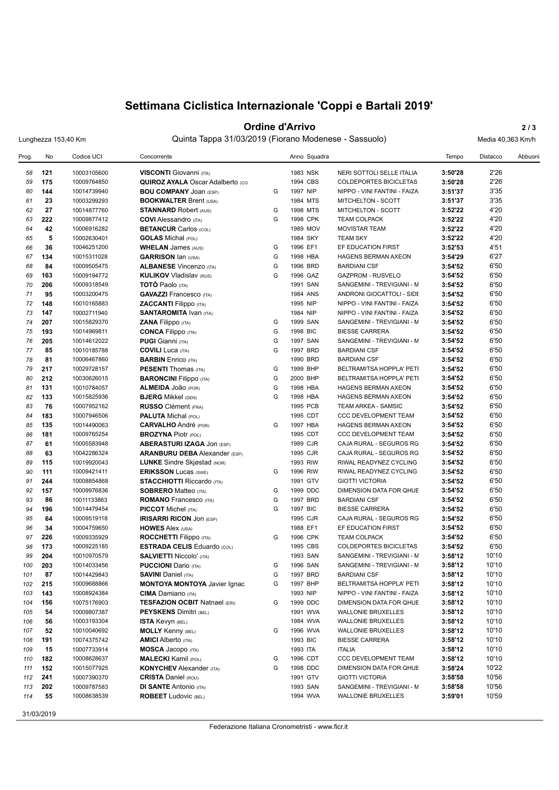# **Settimana Ciclistica Internazionale 'Coppi e Bartali 2019'**

### **Ordine d'Arrivo** 2/3

Lunghezza 153,40 Km Quinta Tappa 31/03/2019 (Fiorano Modenese - Sassuolo) Media 40,363 Km/h

| Prog. | No  | Codice UCI  | Concorrente                             |   | Anno Squadra |                               | Tempo   | Distacco | Abbuoni |
|-------|-----|-------------|-----------------------------------------|---|--------------|-------------------------------|---------|----------|---------|
| 58    | 121 | 10003105600 | <b>VISCONTI</b> Giovanni (ITA)          |   | 1983 NSK     | NERI SOTTOLI SELLE ITALIA     | 3:50'28 | 2'26     |         |
| 59    | 175 | 10009764850 | <b>QUIROZ AYALA Oscar Adalberto (CO</b> |   | 1994 CBS     | <b>COLDEPORTES BICICLETAS</b> | 3:50'28 | 2'26     |         |
| 60    | 144 | 10014739940 | <b>BOU COMPANY JOAN (ESP)</b>           | G | 1997 NIP     | NIPPO - VINI FANTINI - FAIZA  | 3:51'37 | 3'35     |         |
| 61    | 23  | 10003299293 | <b>BOOKWALTER Brent (USA)</b>           |   | 1984 MTS     | MITCHELTON - SCOTT            | 3:51'37 | 3'35     |         |
| 62    | 27  | 10014877760 | <b>STANNARD Robert (AUS)</b>            | G | 1998 MTS     | MITCHELTON - SCOTT            | 3:52'22 | 4'20     |         |
| 63    | 222 | 10009877412 | <b>COVI</b> Alessandro (ITA)            | G | 1998 CPK     | <b>TEAM COLPACK</b>           | 3:52'22 | 4'20     |         |
| 64    | 42  | 10006916282 | <b>BETANCUR Carlos (COL)</b>            |   | 1989 MOV     | <b>MOVISTAR TEAM</b>          | 3:52'22 | 4'20     |         |
| 65    | 5   | 10002630401 | <b>GOLAS</b> Michal (POL)               |   | 1984 SKY     | <b>TEAM SKY</b>               | 3:52'22 | 4'20     |         |
| 66    | 36  | 10046251200 | <b>WHELAN James (AUS)</b>               | G | 1996 EF1     | EF EDUCATION FIRST            | 3:52'53 | 4'51     |         |
| 67    | 134 | 10015311028 | <b>GARRISON Ian (USA)</b>               | G | 1998 HBA     | <b>HAGENS BERMAN AXEON</b>    | 3:54'29 | 6'27     |         |
| 68    | 84  | 10009505475 | <b>ALBANESE Vincenzo (ITA)</b>          | G | 1996 BRD     | <b>BARDIANI CSF</b>           | 3:54'52 | 6'50     |         |
| 69    | 163 | 10009194772 | <b>KULIKOV Vladislav (RUS)</b>          | G | 1996 GAZ     | <b>GAZPROM - RUSVELO</b>      | 3:54'52 | 6'50     |         |
| 70    | 206 | 10009318549 | <b>TOTO</b> Paolo (ITA)                 |   | 1991 SAN     | SANGEMINI - TREVIGIANI - M    | 3:54'52 | 6'50     |         |
| 71    | 95  | 10003200475 | <b>GAVAZZI</b> Francesco (ITA)          |   | 1984 ANS     | ANDRONI GIOCATTOLI - SIDE     | 3:54'52 | 6'50     |         |
| 72    | 148 | 10010165883 | <b>ZACCANTI</b> Filippo (ITA)           |   | 1995 NIP     | NIPPO - VINI FANTINI - FAIZA  | 3:54'52 | 6'50     |         |
| 73    | 147 | 10002711940 | <b>SANTAROMITA IVAN (ITA)</b>           |   | 1984 NIP     | NIPPO - VINI FANTINI - FAIZA  | 3:54'52 | 6'50     |         |
| 74    | 207 | 10015829370 | <b>ZANA Filippo</b> (ITA)               | G | 1999 SAN     | SANGEMINI - TREVIGIANI - M    | 3:54'52 | 6'50     |         |
| 75    | 193 | 10014969811 | <b>CONCA Filippo</b> (ITA)              | G | 1998 BIC     | <b>BIESSE CARRERA</b>         | 3:54'52 | 6'50     |         |
| 76    | 205 | 10014612022 | <b>PUGI</b> Gianni (ITA)                | G | 1997 SAN     | SANGEMINI - TREVIGIANI - M    | 3:54'52 | 6'50     |         |
| 77    | 85  | 10010185788 | <b>COVILI</b> Luca (ITA)                | G | 1997 BRD     | <b>BARDIANI CSF</b>           | 3:54'52 | 6'50     |         |
| 78    | 81  | 10006467860 | <b>BARBIN</b> Enrico (ITA)              |   | 1990 BRD     | <b>BARDIANI CSF</b>           | 3:54'52 | 6'50     |         |
| 79    | 217 | 10029728157 | <b>PESENTI</b> Thomas (ITA)             | G | 1999 BHP     | BELTRAMITSA HOPPLA' PETI      | 3:54'52 | 6'50     |         |
| 80    | 212 | 10030626015 | <b>BARONCINI</b> Filippo (ITA)          | G | 2000 BHP     | BELTRAMITSA HOPPLA' PETI      | 3:54'52 | 6'50     |         |
| 81    | 131 | 10010784057 | ALMEIDA JOão (POR)                      | G | 1998 HBA     | <b>HAGENS BERMAN AXEON</b>    | 3:54'52 | 6'50     |         |
| 82    | 133 | 10015825936 | <b>BJERG</b> Mikkel (DEN)               | G | 1998 HBA     | HAGENS BERMAN AXEON           | 3:54'52 | 6'50     |         |
| 83    | 76  | 10007952162 | RUSSO Clément (FRA)                     |   | 1995 PCB     | <b>TEAM ARKEA - SAMSIC</b>    | 3:54'52 | 6'50     |         |
| 84    | 183 | 10007946506 | <b>PALUTA Michal (POL)</b>              |   | 1995 CDT     | CCC DEVELOPMENT TEAM          | 3:54'52 | 6'50     |         |
| 85    | 135 | 10014490063 | <b>CARVALHO</b> André (POR)             | G | 1997 HBA     | HAGENS BERMAN AXEON           | 3:54'52 | 6'50     |         |
| 86    | 181 | 10009765254 | <b>BROZYNA Piotr (POL)</b>              |   | 1995 CDT     | <b>CCC DEVELOPMENT TEAM</b>   | 3:54'52 | 6'50     |         |
| 87    | 61  | 10005583948 | <b>ABERASTURI IZAGA JON (ESP)</b>       |   | 1989 CJR     | CAJA RURAL - SEGUROS RG       | 3:54'52 | 6'50     |         |
| 88    | 63  | 10042286324 | <b>ARANBURU DEBA</b> Alexander (ESP)    |   | 1995 CJR     | CAJA RURAL - SEGUROS RG       | 3:54'52 | 6'50     |         |
| 89    | 115 | 10019920043 | <b>LUNKE</b> Sindre Skjøstad (NOR)      |   | 1993 RIW     | RIWAL READYNEZ CYCLING        | 3:54'52 | 6'50     |         |
| 90    | 111 | 10009421411 | <b>ERIKSSON Lucas (SWE)</b>             | G | 1996 RIW     | RIWAL READYNEZ CYCLING        | 3:54'52 | 6'50     |         |
| 91    | 244 | 10008854868 | <b>STACCHIOTTI Riccardo (ITA)</b>       |   | 1991 GTV     | <b>GIOTTI VICTORIA</b>        | 3:54'52 | 6'50     |         |
| 92    | 157 | 10009976836 | <b>SOBRERO Matteo (ITA)</b>             | G | 1999 DDC     | DIMENSION DATA FOR QHUE       | 3:54'52 | 6'50     |         |
| 93    | 86  | 10011133863 | <b>ROMANO</b> Francesco (ITA)           | G | 1997 BRD     | <b>BARDIANI CSF</b>           | 3:54'52 | 6'50     |         |
| 94    | 196 | 10014479454 | <b>PICCOT</b> Michel (ITA)              | G | 1997 BIC     | <b>BIESSE CARRERA</b>         | 3:54'52 | 6'50     |         |
| 95    | 64  | 10009519118 | <b>IRISARRI RICON JON (ESP)</b>         |   | 1995 CJR     | CAJA RURAL - SEGUROS RG       | 3:54'52 | 6'50     |         |
| 96    | 34  | 10004759650 | <b>HOWES Alex (USA)</b>                 |   | 1988 EF1     | EF EDUCATION FIRST            | 3:54'52 | 6'50     |         |
| 97    | 226 | 10009335929 | <b>ROCCHETTI Filippo</b> (ITA)          | G | 1996 CPK     | <b>TEAM COLPACK</b>           | 3:54'52 | 6'50     |         |
| 98    | 173 | 10009225185 | <b>ESTRADA CELIS Eduardo (COL)</b>      |   | 1995 CBS     | COLDEPORTES BICICLETAS        | 3:54'52 | 6'50     |         |
| 99    | 204 | 10010970579 | <b>SALVIETTI Niccolo' (ITA)</b>         |   | 1993 SAN     | SANGEMINI - TREVIGIANI - M    | 3:58'12 | 10'10    |         |
| 100   | 203 | 10014033456 | <b>PUCCIONI</b> Dario (ITA)             | G | 1996 SAN     | SANGEMINI - TREVIGIANI - M    | 3:58'12 | 10'10    |         |
| 101   | 87  | 10014429843 | <b>SAVINI Daniel (ITA)</b>              | G | 1997 BRD     | <b>BARDIANI CSF</b>           | 3:58'12 | 10'10    |         |
| 102   | 215 | 10009688866 | <b>MONTOYA MONTOYA Javier Ignac</b>     | G | 1997 BHP     | BELTRAMITSA HOPPLA' PETI      | 3:58'12 | 10'10    |         |
| 103   | 143 | 10008924384 | <b>CIMA</b> Damiano (ITA)               |   | 1993 NIP     | NIPPO - VINI FANTINI - FAIZA  | 3:58'12 | 10'10    |         |
| 104   | 156 | 10075176903 | <b>TESFAZION OCBIT Natnael (ERI)</b>    | G | 1999 DDC     | DIMENSION DATA FOR QHUE       | 3:58'12 | 10'10    |         |
| 105   | 54  | 10009807387 | <b>PEYSKENS Dimitri (BEL)</b>           |   | 1991 WVA     | <b>WALLONIE BRUXELLES</b>     | 3:58'12 | 10'10    |         |
| 106   | 56  | 10003193304 | <b>ISTA Kevyn (BEL)</b>                 |   | 1984 WVA     | <b>WALLONIE BRUXELLES</b>     | 3:58'12 | 10'10    |         |
| 107   | 52  | 10010040692 | <b>MOLLY Kenny (BEL)</b>                | G | 1996 WVA     | <b>WALLONIE BRUXELLES</b>     | 3:58'12 | 10'10    |         |
| 108   | 191 | 10074375742 | <b>AMICI</b> Alberto (ITA)              |   | 1993 BIC     | <b>BIESSE CARRERA</b>         | 3:58'12 | 10'10    |         |
| 109   | 15  | 10007733914 | <b>MOSCA Jacopo</b> (ITA)               |   | 1993 ITA     | <b>ITALIA</b>                 | 3:58'12 | 10'10    |         |
| 110   | 182 | 10008628637 | <b>MALECKI</b> Kamil (POL)              | G | 1996 CDT     | CCC DEVELOPMENT TEAM          | 3:58'12 | 10'10    |         |
| 111   | 152 | 10015077925 | <b>KONYCHEV</b> Alexander (ITA)         | G | 1998 DDC     | DIMENSION DATA FOR QHUE       | 3:58'24 | 10'22    |         |
| 112   | 241 | 10007390370 | <b>CRISTA Daniel (ROU)</b>              |   | 1991 GTV     | <b>GIOTTI VICTORIA</b>        | 3:58'58 | 10'56    |         |
| 113   | 202 | 10009787583 | <b>DI SANTE Antonio (ITA)</b>           |   | 1993 SAN     | SANGEMINI - TREVIGIANI - M    | 3:58'58 | 10'56    |         |
| 114   | 55  | 10008638539 | <b>ROBEET</b> Ludovic (BEL)             |   | 1994 WVA     | <b>WALLONIE BRUXELLES</b>     | 3:59'01 | 10'59    |         |
|       |     |             |                                         |   |              |                               |         |          |         |